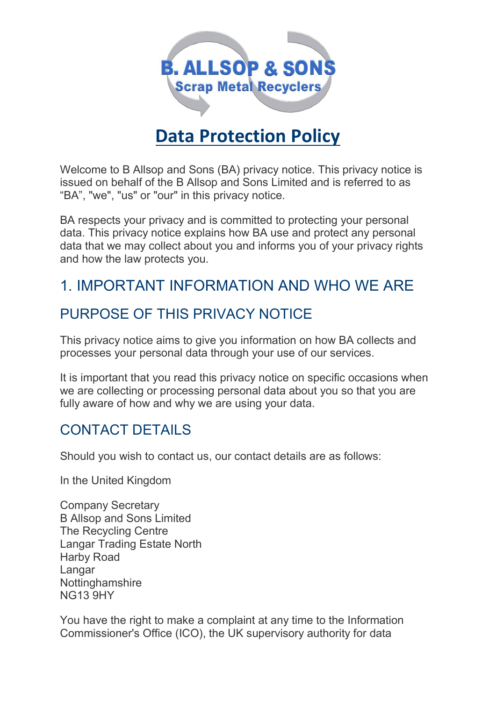

# Data Protection Policy

Welcome to B Allsop and Sons (BA) privacy notice. This privacy notice is issued on behalf of the B Allsop and Sons Limited and is referred to as "BA", "we", "us" or "our" in this privacy notice.

BA respects your privacy and is committed to protecting your personal data. This privacy notice explains how BA use and protect any personal data that we may collect about you and informs you of your privacy rights and how the law protects you.

### 1. IMPORTANT INFORMATION AND WHO WE ARE

### PURPOSE OF THIS PRIVACY NOTICE

This privacy notice aims to give you information on how BA collects and processes your personal data through your use of our services.

It is important that you read this privacy notice on specific occasions when we are collecting or processing personal data about you so that you are fully aware of how and why we are using your data.

### CONTACT DETAILS

Should you wish to contact us, our contact details are as follows:

In the United Kingdom

Company Secretary B Allsop and Sons Limited The Recycling Centre Langar Trading Estate North Harby Road Langar Nottinghamshire NG13 9HY

You have the right to make a complaint at any time to the Information Commissioner's Office (ICO), the UK supervisory authority for data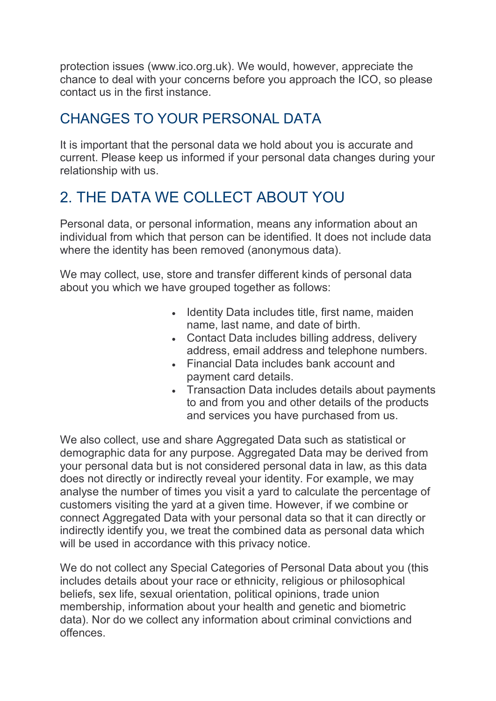protection issues (www.ico.org.uk). We would, however, appreciate the chance to deal with your concerns before you approach the ICO, so please contact us in the first instance.

### CHANGES TO YOUR PERSONAL DATA

It is important that the personal data we hold about you is accurate and current. Please keep us informed if your personal data changes during your relationship with us.

# 2. THE DATA WE COLLECT ABOUT YOU

Personal data, or personal information, means any information about an individual from which that person can be identified. It does not include data where the identity has been removed (anonymous data).

We may collect, use, store and transfer different kinds of personal data about you which we have grouped together as follows:

- Identity Data includes title, first name, maiden name, last name, and date of birth.
- Contact Data includes billing address, delivery address, email address and telephone numbers.
- Financial Data includes bank account and payment card details.
- Transaction Data includes details about payments to and from you and other details of the products and services you have purchased from us.

We also collect, use and share Aggregated Data such as statistical or demographic data for any purpose. Aggregated Data may be derived from your personal data but is not considered personal data in law, as this data does not directly or indirectly reveal your identity. For example, we may analyse the number of times you visit a yard to calculate the percentage of customers visiting the yard at a given time. However, if we combine or connect Aggregated Data with your personal data so that it can directly or indirectly identify you, we treat the combined data as personal data which will be used in accordance with this privacy notice.

We do not collect any Special Categories of Personal Data about you (this includes details about your race or ethnicity, religious or philosophical beliefs, sex life, sexual orientation, political opinions, trade union membership, information about your health and genetic and biometric data). Nor do we collect any information about criminal convictions and offences.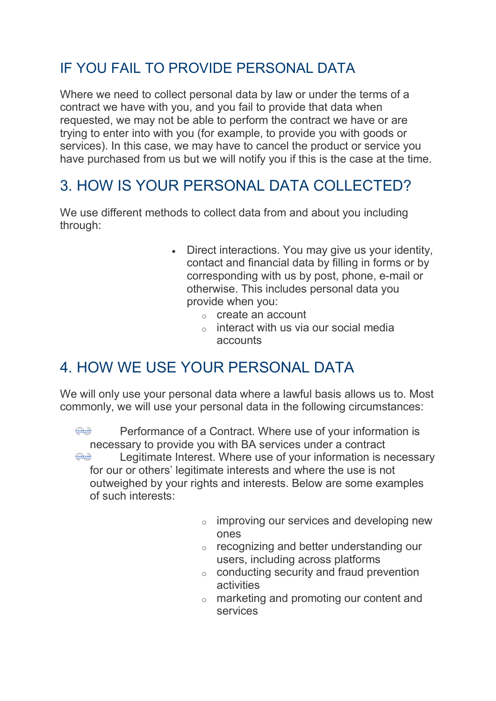# IF YOU FAIL TO PROVIDE PERSONAL DATA

Where we need to collect personal data by law or under the terms of a contract we have with you, and you fail to provide that data when requested, we may not be able to perform the contract we have or are trying to enter into with you (for example, to provide you with goods or services). In this case, we may have to cancel the product or service you have purchased from us but we will notify you if this is the case at the time.

# 3. HOW IS YOUR PERSONAL DATA COLLECTED?

We use different methods to collect data from and about you including through:

- Direct interactions. You may give us your identity, contact and financial data by filling in forms or by corresponding with us by post, phone, e-mail or otherwise. This includes personal data you provide when you:
	- o create an account
	- $\circ$  interact with us via our social media accounts

# 4. HOW WE USE YOUR PERSONAL DATA

We will only use your personal data where a lawful basis allows us to. Most commonly, we will use your personal data in the following circumstances:

**B.ALLSOP & SONS** Performance of a Contract. Where use of your information is necessary to provide you with BA services under a contract **B. ALLSOP & SONS** Legitimate Interest. Where use of your information is necessary for our or others' legitimate interests and where the use is not outweighed by your rights and interests. Below are some examples of such interests:

- o improving our services and developing new ones
- o recognizing and better understanding our users, including across platforms
- $\circ$  conducting security and fraud prevention activities
- o marketing and promoting our content and services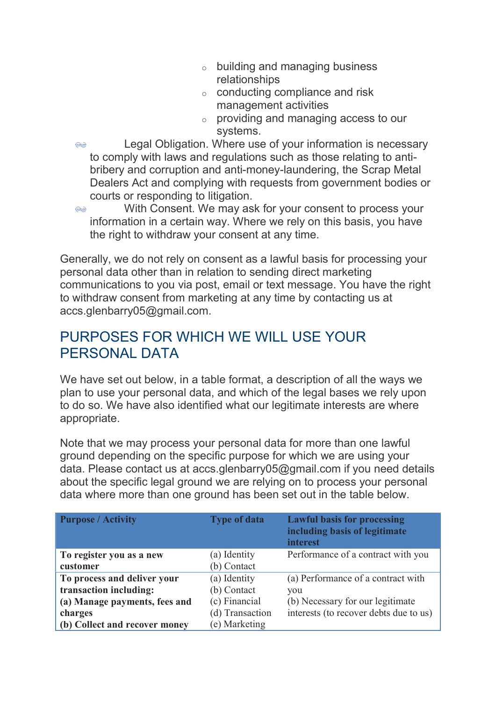- $\circ$  building and managing business relationships
- $\circ$  conducting compliance and risk management activities
- o providing and managing access to our systems.
- Legal Obligation. Where use of your information is necessary  $(4, 10)$ to comply with laws and regulations such as those relating to antibribery and corruption and anti-money-laundering, the Scrap Metal Dealers Act and complying with requests from government bodies or courts or responding to litigation.
- With Consent. We may ask for your consent to process your  $(1, 1, 1, 1, 1, 1)$ information in a certain way. Where we rely on this basis, you have the right to withdraw your consent at any time.

Generally, we do not rely on consent as a lawful basis for processing your personal data other than in relation to sending direct marketing communications to you via post, email or text message. You have the right to withdraw consent from marketing at any time by contacting us at accs.glenbarry05@gmail.com.

#### PURPOSES FOR WHICH WE WILL USE YOUR PERSONAL DATA

We have set out below, in a table format, a description of all the ways we plan to use your personal data, and which of the legal bases we rely upon to do so. We have also identified what our legitimate interests are where appropriate.

Note that we may process your personal data for more than one lawful ground depending on the specific purpose for which we are using your data. Please contact us at accs.glenbarry05@gmail.com if you need details about the specific legal ground we are relying on to process your personal data where more than one ground has been set out in the table below.

| <b>Purpose / Activity</b>     | <b>Type of data</b> | <b>Lawful basis for processing</b><br>including basis of legitimate<br><b>interest</b> |
|-------------------------------|---------------------|----------------------------------------------------------------------------------------|
| To register you as a new      | (a) Identity        | Performance of a contract with you                                                     |
| customer                      | (b) Contact         |                                                                                        |
| To process and deliver your   | (a) Identity        | (a) Performance of a contract with                                                     |
| transaction including:        | (b) Contact         | you                                                                                    |
| (a) Manage payments, fees and | (c) Financial       | (b) Necessary for our legitimate                                                       |
| charges                       | (d) Transaction     | interests (to recover debts due to us)                                                 |
| (b) Collect and recover money | (e) Marketing       |                                                                                        |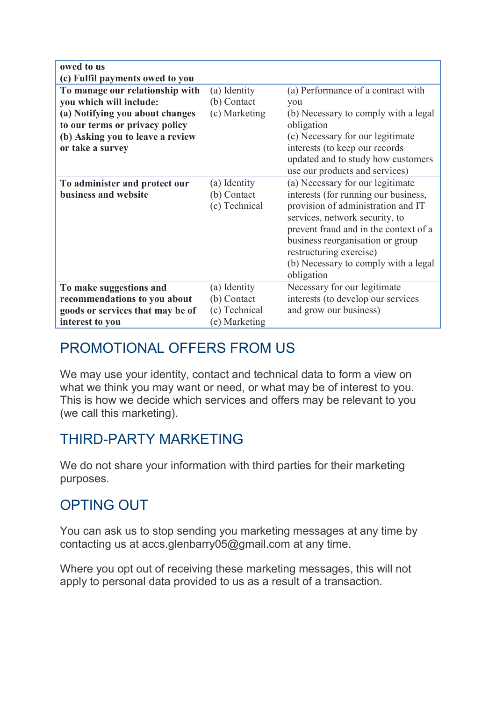| owed to us                       |               |                                       |
|----------------------------------|---------------|---------------------------------------|
| (c) Fulfil payments owed to you  |               |                                       |
| To manage our relationship with  | (a) Identity  | (a) Performance of a contract with    |
| you which will include:          | (b) Contact   | you                                   |
| (a) Notifying you about changes  | (c) Marketing | (b) Necessary to comply with a legal  |
| to our terms or privacy policy   |               | obligation                            |
| (b) Asking you to leave a review |               | (c) Necessary for our legitimate      |
| or take a survey                 |               | interests (to keep our records        |
|                                  |               | updated and to study how customers    |
|                                  |               | use our products and services)        |
| To administer and protect our    | (a) Identity  | (a) Necessary for our legitimate      |
| business and website             | (b) Contact   | interests (for running our business,  |
|                                  | (c) Technical | provision of administration and IT    |
|                                  |               | services, network security, to        |
|                                  |               | prevent fraud and in the context of a |
|                                  |               | business reorganisation or group      |
|                                  |               | restructuring exercise)               |
|                                  |               | (b) Necessary to comply with a legal  |
|                                  |               | obligation                            |
| To make suggestions and          | (a) Identity  | Necessary for our legitimate          |
| recommendations to you about     | (b) Contact   | interests (to develop our services    |
| goods or services that may be of | (c) Technical | and grow our business)                |
| interest to you                  | (e) Marketing |                                       |

### PROMOTIONAL OFFERS FROM US

We may use your identity, contact and technical data to form a view on what we think you may want or need, or what may be of interest to you. This is how we decide which services and offers may be relevant to you (we call this marketing).

### THIRD-PARTY MARKETING

We do not share your information with third parties for their marketing purposes.

### OPTING OUT

You can ask us to stop sending you marketing messages at any time by contacting us at accs.glenbarry05@gmail.com at any time.

Where you opt out of receiving these marketing messages, this will not apply to personal data provided to us as a result of a transaction.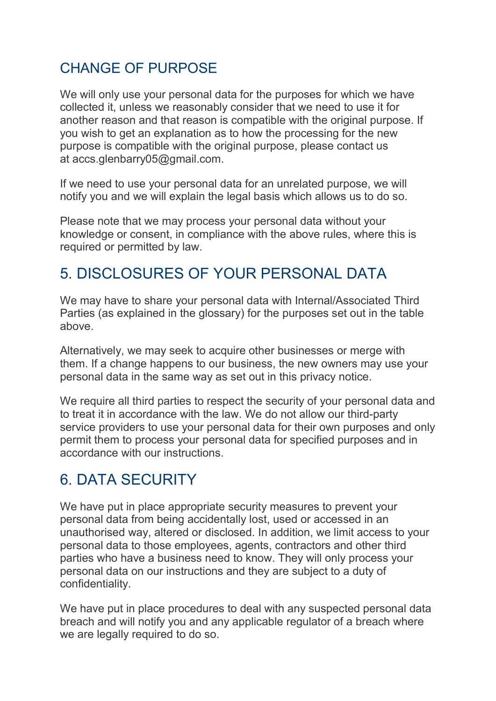# CHANGE OF PURPOSE

We will only use your personal data for the purposes for which we have collected it, unless we reasonably consider that we need to use it for another reason and that reason is compatible with the original purpose. If you wish to get an explanation as to how the processing for the new purpose is compatible with the original purpose, please contact us at accs.glenbarry05@gmail.com.

If we need to use your personal data for an unrelated purpose, we will notify you and we will explain the legal basis which allows us to do so.

Please note that we may process your personal data without your knowledge or consent, in compliance with the above rules, where this is required or permitted by law.

# 5. DISCLOSURES OF YOUR PERSONAL DATA

We may have to share your personal data with Internal/Associated Third Parties (as explained in the glossary) for the purposes set out in the table above.

Alternatively, we may seek to acquire other businesses or merge with them. If a change happens to our business, the new owners may use your personal data in the same way as set out in this privacy notice.

We require all third parties to respect the security of your personal data and to treat it in accordance with the law. We do not allow our third-party service providers to use your personal data for their own purposes and only permit them to process your personal data for specified purposes and in accordance with our instructions.

# 6. DATA SECURITY

We have put in place appropriate security measures to prevent your personal data from being accidentally lost, used or accessed in an unauthorised way, altered or disclosed. In addition, we limit access to your personal data to those employees, agents, contractors and other third parties who have a business need to know. They will only process your personal data on our instructions and they are subject to a duty of confidentiality.

We have put in place procedures to deal with any suspected personal data breach and will notify you and any applicable regulator of a breach where we are legally required to do so.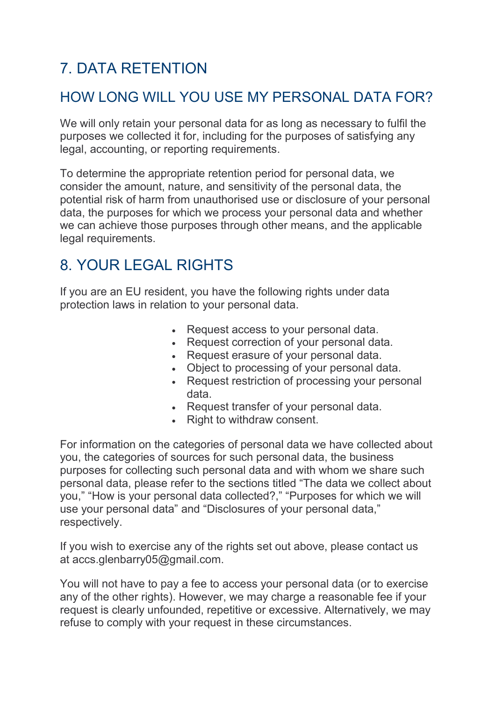# 7. DATA RETENTION

#### HOW LONG WILL YOU USE MY PERSONAL DATA FOR?

We will only retain your personal data for as long as necessary to fulfil the purposes we collected it for, including for the purposes of satisfying any legal, accounting, or reporting requirements.

To determine the appropriate retention period for personal data, we consider the amount, nature, and sensitivity of the personal data, the potential risk of harm from unauthorised use or disclosure of your personal data, the purposes for which we process your personal data and whether we can achieve those purposes through other means, and the applicable legal requirements.

# 8. YOUR LEGAL RIGHTS

If you are an EU resident, you have the following rights under data protection laws in relation to your personal data.

- Request access to your personal data.
- Request correction of your personal data.
- Request erasure of your personal data.
- Object to processing of your personal data.
- Request restriction of processing your personal data.
- Request transfer of your personal data.
- Right to withdraw consent.

For information on the categories of personal data we have collected about you, the categories of sources for such personal data, the business purposes for collecting such personal data and with whom we share such personal data, please refer to the sections titled "The data we collect about you," "How is your personal data collected?," "Purposes for which we will use your personal data" and "Disclosures of your personal data," respectively.

If you wish to exercise any of the rights set out above, please contact us at accs.glenbarry05@gmail.com.

You will not have to pay a fee to access your personal data (or to exercise any of the other rights). However, we may charge a reasonable fee if your request is clearly unfounded, repetitive or excessive. Alternatively, we may refuse to comply with your request in these circumstances.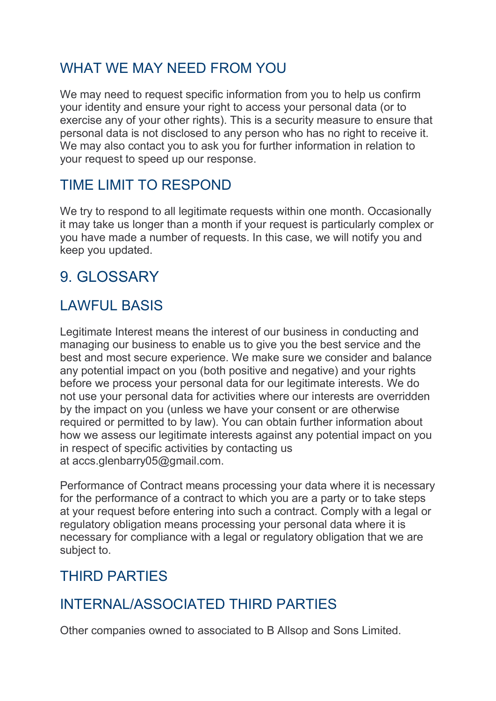### WHAT WE MAY NEED FROM YOU

We may need to request specific information from you to help us confirm your identity and ensure your right to access your personal data (or to exercise any of your other rights). This is a security measure to ensure that personal data is not disclosed to any person who has no right to receive it. We may also contact you to ask you for further information in relation to your request to speed up our response.

# TIME LIMIT TO RESPOND

We try to respond to all legitimate requests within one month. Occasionally it may take us longer than a month if your request is particularly complex or you have made a number of requests. In this case, we will notify you and keep you updated.

# 9. GLOSSARY

# LAWFUL BASIS

Legitimate Interest means the interest of our business in conducting and managing our business to enable us to give you the best service and the best and most secure experience. We make sure we consider and balance any potential impact on you (both positive and negative) and your rights before we process your personal data for our legitimate interests. We do not use your personal data for activities where our interests are overridden by the impact on you (unless we have your consent or are otherwise required or permitted to by law). You can obtain further information about how we assess our legitimate interests against any potential impact on you in respect of specific activities by contacting us at accs.glenbarry05@gmail.com.

Performance of Contract means processing your data where it is necessary for the performance of a contract to which you are a party or to take steps at your request before entering into such a contract. Comply with a legal or regulatory obligation means processing your personal data where it is necessary for compliance with a legal or regulatory obligation that we are subject to.

### THIRD PARTIES

### INTERNAL/ASSOCIATED THIRD PARTIES

Other companies owned to associated to B Allsop and Sons Limited.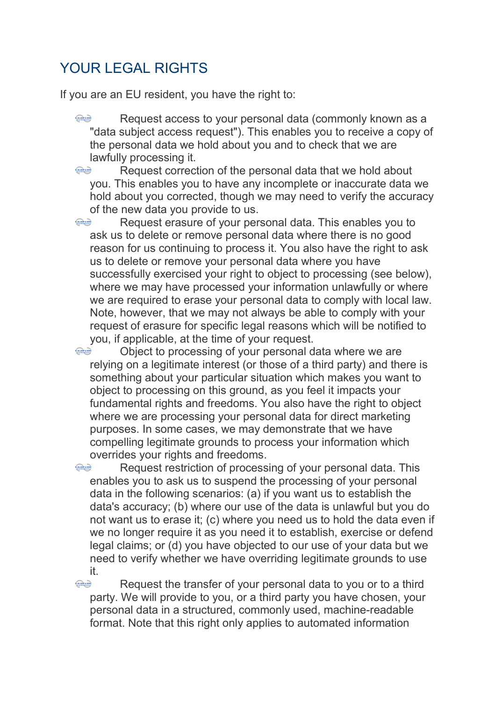### YOUR LEGAL RIGHTS

If you are an EU resident, you have the right to:

**B. ALLSOP & SONS** Request access to your personal data (commonly known as a "data subject access request"). This enables you to receive a copy of the personal data we hold about you and to check that we are lawfully processing it.

**B. ALLSOP & SONS** Request correction of the personal data that we hold about you. This enables you to have any incomplete or inaccurate data we hold about you corrected, though we may need to verify the accuracy of the new data you provide to us.

M. MLSOP & SONS Request erasure of your personal data. This enables you to ask us to delete or remove personal data where there is no good reason for us continuing to process it. You also have the right to ask us to delete or remove your personal data where you have successfully exercised your right to object to processing (see below), where we may have processed your information unlawfully or where we are required to erase your personal data to comply with local law. Note, however, that we may not always be able to comply with your request of erasure for specific legal reasons which will be notified to you, if applicable, at the time of your request.

B. ALLSOP & SONS Object to processing of your personal data where we are relying on a legitimate interest (or those of a third party) and there is something about your particular situation which makes you want to object to processing on this ground, as you feel it impacts your fundamental rights and freedoms. You also have the right to object where we are processing your personal data for direct marketing purposes. In some cases, we may demonstrate that we have compelling legitimate grounds to process your information which overrides your rights and freedoms.

**B. ALLSOP & SONS** Request restriction of processing of your personal data. This enables you to ask us to suspend the processing of your personal data in the following scenarios: (a) if you want us to establish the data's accuracy; (b) where our use of the data is unlawful but you do not want us to erase it; (c) where you need us to hold the data even if we no longer require it as you need it to establish, exercise or defend legal claims; or (d) you have objected to our use of your data but we need to verify whether we have overriding legitimate grounds to use it.

**ALLSOP & SONS** Request the transfer of your personal data to you or to a third party. We will provide to you, or a third party you have chosen, your personal data in a structured, commonly used, machine-readable format. Note that this right only applies to automated information